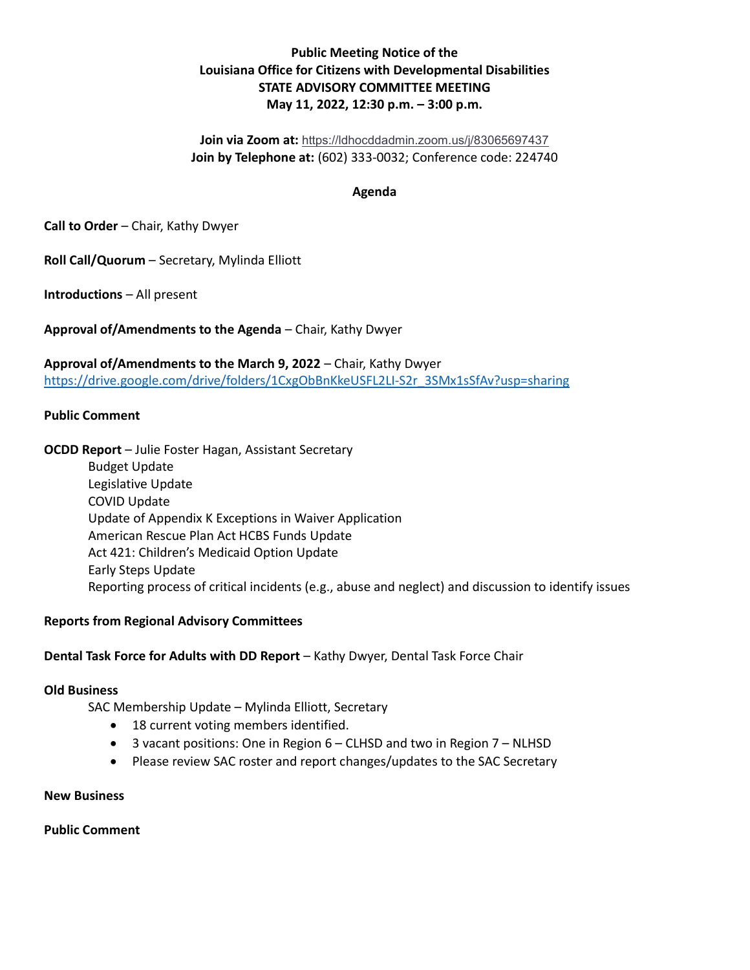## Public Meeting Notice of the Louisiana Office for Citizens with Developmental Disabilities STATE ADVISORY COMMITTEE MEETING May 11, 2022, 12:30 p.m. – 3:00 p.m.

Join via Zoom at: https://ldhocddadmin.zoom.us/j/83065697437 Join by Telephone at: (602) 333-0032; Conference code: 224740

### Agenda

Call to Order – Chair, Kathy Dwyer

Roll Call/Quorum – Secretary, Mylinda Elliott

Introductions – All present

Approval of/Amendments to the Agenda – Chair, Kathy Dwyer

Approval of/Amendments to the March 9, 2022 – Chair, Kathy Dwyer https://drive.google.com/drive/folders/1CxgObBnKkeUSFL2LI-S2r\_3SMx1sSfAv?usp=sharing

#### Public Comment

OCDD Report – Julie Foster Hagan, Assistant Secretary

 Budget Update Legislative Update COVID Update Update of Appendix K Exceptions in Waiver Application American Rescue Plan Act HCBS Funds Update Act 421: Children's Medicaid Option Update Early Steps Update Reporting process of critical incidents (e.g., abuse and neglect) and discussion to identify issues

#### Reports from Regional Advisory Committees

#### Dental Task Force for Adults with DD Report – Kathy Dwyer, Dental Task Force Chair

#### Old Business

SAC Membership Update – Mylinda Elliott, Secretary

- 18 current voting members identified.
- $\bullet$  3 vacant positions: One in Region 6 CLHSD and two in Region 7 NLHSD
- Please review SAC roster and report changes/updates to the SAC Secretary

#### New Business

Public Comment